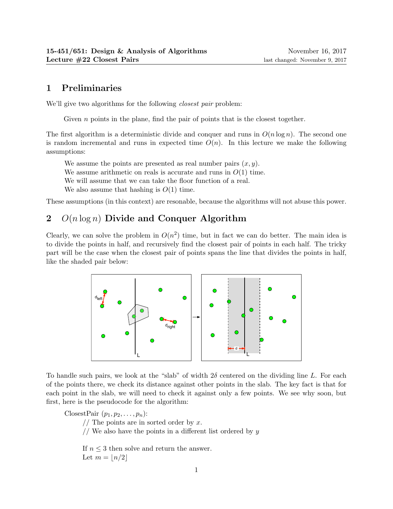## 1 Preliminaries

We'll give two algorithms for the following *closest pair* problem:

Given  $n$  points in the plane, find the pair of points that is the closest together.

The first algorithm is a deterministic divide and conquer and runs in  $O(n \log n)$ . The second one is random incremental and runs in expected time  $O(n)$ . In this lecture we make the following assumptions:

We assume the points are presented as real number pairs  $(x, y)$ .

We assume arithmetic on reals is accurate and runs in  $O(1)$  time.

We will assume that we can take the floor function of a real.

We also assume that hashing is  $O(1)$  time.

These assumptions (in this context) are resonable, because the algorithms will not abuse this power.

## 2  $O(n \log n)$  Divide and Conquer Algorithm

Clearly, we can solve the problem in  $O(n^2)$  time, but in fact we can do better. The main idea is to divide the points in half, and recursively find the closest pair of points in each half. The tricky part will be the case when the closest pair of points spans the line that divides the points in half, like the shaded pair below:



To handle such pairs, we look at the "slab" of width  $2\delta$  centered on the dividing line L. For each of the points there, we check its distance against other points in the slab. The key fact is that for each point in the slab, we will need to check it against only a few points. We see why soon, but first, here is the pseudocode for the algorithm:

ClosestPair  $(p_1, p_2, \ldots, p_n)$ :  $//$  The points are in sorted order by x.  $//$  We also have the points in a different list ordered by  $y$ 

If  $n \leq 3$  then solve and return the answer. Let  $m = |n/2|$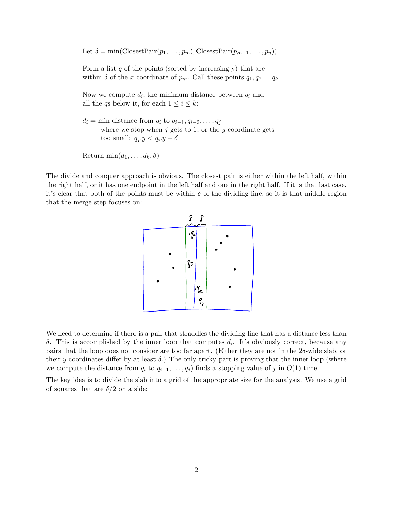Let  $\delta = \min(\text{ClosestPair}(p_1, \ldots, p_m), \text{ClosestPair}(p_{m+1}, \ldots, p_n))$ 

Form a list  $q$  of the points (sorted by increasing y) that are within  $\delta$  of the x coordinate of  $p_m$ . Call these points  $q_1, q_2 \ldots q_k$ 

Now we compute  $d_i$ , the minimum distance between  $q_i$  and all the qs below it, for each  $1 \leq i \leq k$ :

 $d_i = \min$  distance from  $q_i$  to  $q_{i-1}, q_{i-2}, \ldots, q_j$ where we stop when  $j$  gets to 1, or the  $y$  coordinate gets too small:  $q_j.y < q_i.y - \delta$ 

```
Return \min(d_1, \ldots, d_k, \delta)
```
The divide and conquer approach is obvious. The closest pair is either within the left half, within the right half, or it has one endpoint in the left half and one in the right half. If it is that last case, it's clear that both of the points must be within  $\delta$  of the dividing line, so it is that middle region that the merge step focuses on:



We need to determine if there is a pair that straddles the dividing line that has a distance less than δ. This is accomplished by the inner loop that computes  $d_i$ . It's obviously correct, because any pairs that the loop does not consider are too far apart. (Either they are not in the  $2\delta$ -wide slab, or their y coordinates differ by at least  $\delta$ .) The only tricky part is proving that the inner loop (where we compute the distance from  $q_i$  to  $q_{i-1}, \ldots, q_j$  finds a stopping value of j in  $O(1)$  time.

of squares that are  $\delta/2$  on a side: The key idea is to divide the slab into a grid of the appropriate size for the analysis. We use a grid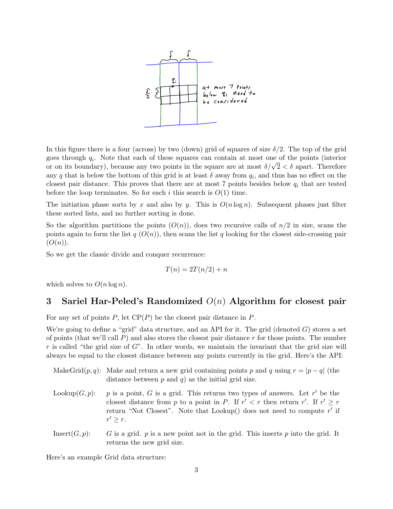

In this figure there is a four (across) by two (down) grid of squares of size  $\delta/2$ . The top of the grid goes through  $q_i$ . Note that each of these squares can contain at most one of the points (interior goes through  $q_i$ . Note that each of these squares can contain at most one of the points (interior or on its boundary), because any two points in the square are at most  $\delta/\sqrt{2} < \delta$  apart. Therefore any q that is below the bottom of this grid is at least  $\delta$  away from  $q_i$ , and thus has no effect on the closest pair distance. This proves that there are at most 7 points besides below  $q_i$  that are tested before the loop terminates. So for each i this search is  $O(1)$  time.

The initiation phase sorts by x and also by y. This is  $O(n \log n)$ . Subsequent phases just filter these sorted lists, and no further sorting is done.

So the algorithm partitions the points  $(O(n))$ , does two recursive calls of  $n/2$  in size, scans the points again to form the list  $q(O(n))$ , then scans the list q looking for the closest side-crossing pair  $(O(n)).$ 

So we get the classic divide and conquer recurrence:

$$
T(n) = 2T(n/2) + n
$$

which solves to  $O(n \log n)$ .

## 3 Sariel Har-Peled's Randomized  $O(n)$  Algorithm for closest pair

For any set of points  $P$ , let  $\text{CP}(P)$  be the closest pair distance in  $P$ .

We're going to define a "grid" data structure, and an API for it. The grid (denoted  $G$ ) stores a set of points (that we'll call  $P$ ) and also stores the closest pair distance r for those points. The number r is called "the grid size of  $G$ ". In other words, we maintain the invariant that the grid size will always be equal to the closest distance between any points currently in the grid. Here's the API:

| MakeGrid $(p, q)$ : Make and return a new grid containing points p and q using $r =  p - q $ (the |
|---------------------------------------------------------------------------------------------------|
| distance between $p$ and $q$ ) as the initial grid size.                                          |

- Lookup $(G, p)$ : p is a point, G is a grid. This returns two types of answers. Let r' be the closest distance from p to a point in P. If  $r' < r$  then return r'. If  $r' \geq r$ return "Not Closest". Note that Lookup() does not need to compute  $r'$  if  $r' \geq r$ .
- Insert $(G, p)$ : G is a grid. p is a new point not in the grid. This inserts p into the grid. It returns the new grid size.

Here's an example Grid data structure: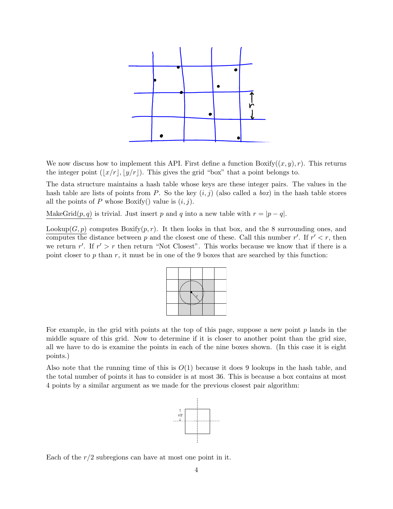

We now discuss how to implement this API. First define a function  $Boxify((x, y), r)$ . This returns the integer point  $(|x/r|, |y/r|)$ . This gives the grid "box" that a point belongs to.

The data structure maintains a hash table whose keys are these integer pairs. The values in the hash table are lists of points from P. So the key  $(i, j)$  (also called a box) in the hash table stores all the points of P whose Boxify() value is  $(i, j)$ .

MakeGrid $(p, q)$  is trivial. Just insert p and q into a new table with  $r = |p - q|$ .

Lookup $(G, p)$  computes Boxify $(p, r)$ . It then looks in that box, and the 8 surrounding ones, and computes the distance between p and the closest one of these. Call this number r'. If  $r' < r$ , then we return  $r'$ . If  $r' > r$  then return "Not Closest". This works because we know that if there is a point closer to p than r, it must be in one of the 9 boxes that are searched by this function:

For example, in the grid with points at the top of this page, suppose a new point  $p$  lands in the middle square of this grid. Now to determine if it is closer to another point than the grid size, all we have to do is examine the points in each of the nine boxes shown. (In this case it is eight points.)

Also note that the running time of this is  $O(1)$  because it does 9 lookups in the hash table, and the total number of points it has to consider is at most 36. This is because a box contains at most 4 points by a similar argument as we made for the previous closest pair algorithm:



Each of the  $r/2$  subregions can have at most one point in it.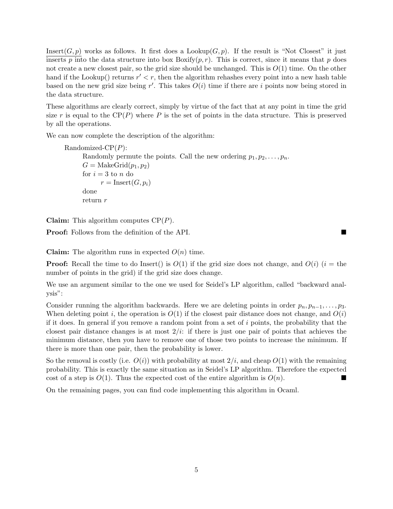Insert(G, p) works as follows. It first does a Lookup(G, p). If the result is "Not Closest" it just inserts p into the data structure into box  $Bosify(p, r)$ . This is correct, since it means that p does not create a new closest pair, so the grid size should be unchanged. This is  $O(1)$  time. On the other hand if the Lookup() returns  $r' < r$ , then the algorithm rehashes every point into a new hash table based on the new grid size being  $r'$ . This takes  $O(i)$  time if there are i points now being stored in the data structure.

These algorithms are clearly correct, simply by virtue of the fact that at any point in time the grid size r is equal to the  $\text{CP}(P)$  where P is the set of points in the data structure. This is preserved by all the operations.

We can now complete the description of the algorithm:

Randomized- $\mathrm{CP}(P)$ : Randomly permute the points. Call the new ordering  $p_1, p_2, \ldots, p_n$ .  $G = \text{MakeGrid}(p_1, p_2)$ for  $i = 3$  to n do  $r = Insert(G, p_i)$ done return r

**Claim:** This algorithm computes  $\text{CP}(P)$ .

Proof: Follows from the definition of the API.

**Claim:** The algorithm runs in expected  $O(n)$  time.

**Proof:** Recall the time to do Insert() is  $O(1)$  if the grid size does not change, and  $O(i)$  (i = the number of points in the grid) if the grid size does change.

We use an argument similar to the one we used for Seidel's LP algorithm, called "backward analysis":

Consider running the algorithm backwards. Here we are deleting points in order  $p_n, p_{n-1}, \ldots, p_3$ . When deleting point i, the operation is  $O(1)$  if the closest pair distance does not change, and  $O(i)$ if it does. In general if you remove a random point from a set of  $i$  points, the probability that the closest pair distance changes is at most  $2/i$ : if there is just one pair of points that achieves the minimum distance, then you have to remove one of those two points to increase the minimum. If there is more than one pair, then the probability is lower.

So the removal is costly (i.e.  $O(i)$ ) with probability at most  $2/i$ , and cheap  $O(1)$  with the remaining probability. This is exactly the same situation as in Seidel's LP algorithm. Therefore the expected cost of a step is  $O(1)$ . Thus the expected cost of the entire algorithm is  $O(n)$ .

On the remaining pages, you can find code implementing this algorithm in Ocaml.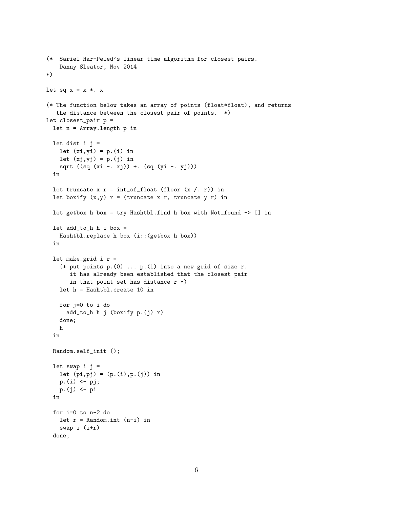```
(* Sariel Har-Peled's linear time algorithm for closest pairs.
   Danny Sleator, Nov 2014
*)
let sq x = x *. x
(* The function below takes an array of points (float*float), and returns
  the distance between the closest pair of points. *)
let closest_pair p =
 let n = Array.length p in
 let dist i j =let (xi,yi) = p.(i) in
   let (xj, yj) = p.(j) in
   sqrt ((sq (xi - xj)) + (sq (yi - yj)))in
  let truncate x r = int_of_float (floor (x / r)) in
 let boxify (x,y) r = (truncate x r, truncate y r) in
 let getbox h box = try Hashtbl.find h box with Not_found \rightarrow [] in
 let add_to_h h i box =Hashtbl.replace h box (i::(getbox h box))
  in
 let make_grid i r =(* put points p.(0) ... p.(i) into a new grid of size r.
       it has already been established that the closest pair
       in that point set has distance r *)
   let h = Hashtbl.create 10 in
   for j=0 to i do
     add_to_h h j (boxify p.(j) r)
   done;
   h
  in
 Random.self_init ();
 let swap i j =
   let (pi, pj) = (p.(i), p.(j)) in
   p.(i) < -pj;p.(j) <- pi
  in
 for i=0 to n-2 do
   let r = Random.int (n-i) in
   swap i (i+r)
 done;
```